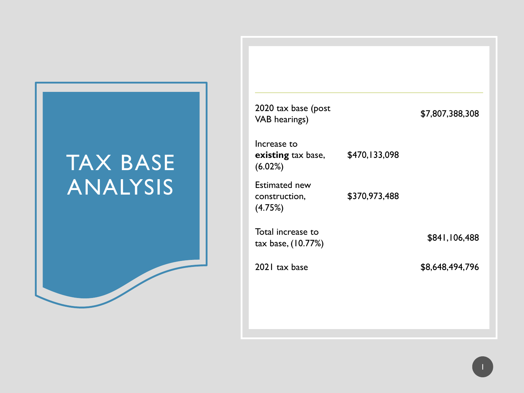# TAX BASE ANALYSIS

| 2020 tax base (post<br><b>VAB</b> hearings)         |               | \$7,807,388,308 |
|-----------------------------------------------------|---------------|-----------------|
| Increase to<br><b>existing</b> tax base,<br>(6.02%) | \$470,133,098 |                 |
| <b>Estimated new</b><br>construction,<br>(4.75%)    | \$370,973,488 |                 |
| Total increase to<br>tax base, (10.77%)             |               | \$841,106,488   |
| 2021 tax base                                       |               | \$8,648,494,796 |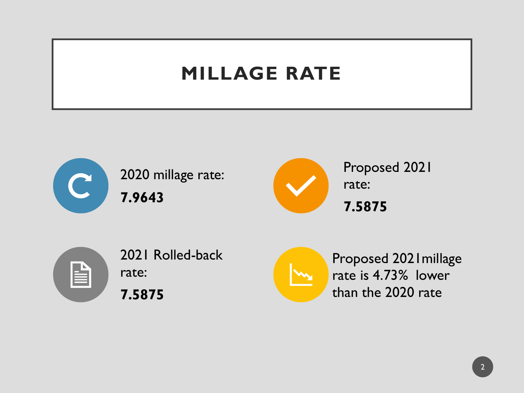# **MILLAGE RATE**



2020 millage rate: **7.9643**



Proposed 2021 rate: **7.5875**



2021 Rolled-back rate: **7.5875**



Proposed 2021millage rate is 4.73% lower than the 2020 rate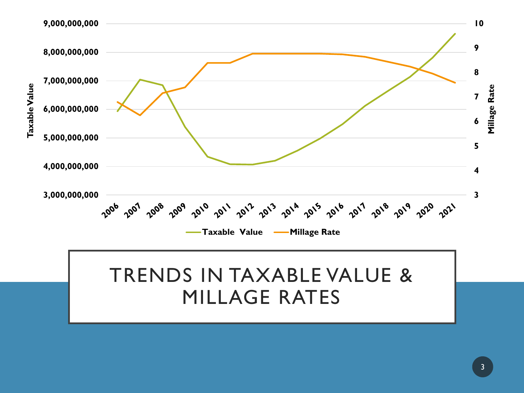# TRENDS IN TAXABLE VALUE & MILLAGE RATES

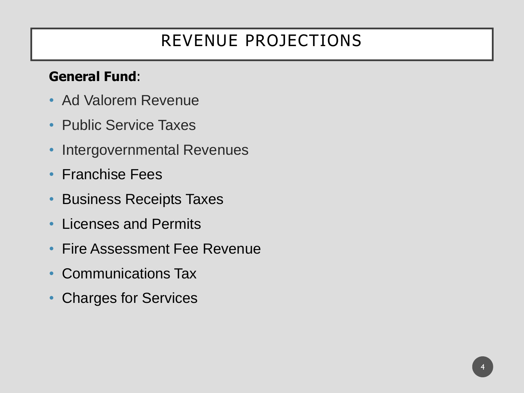# REVENUE PROJECTIONS

### **General Fund**:

- Ad Valorem Revenue
- Public Service Taxes
- Intergovernmental Revenues
- Franchise Fees
- Business Receipts Taxes
- Licenses and Permits
- Fire Assessment Fee Revenue
- Communications Tax
- Charges for Services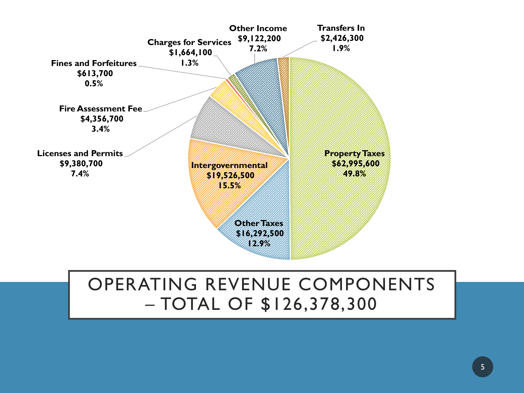

## OPERATING REVENUE COMPONENTS – TOTAL OF \$126,378,300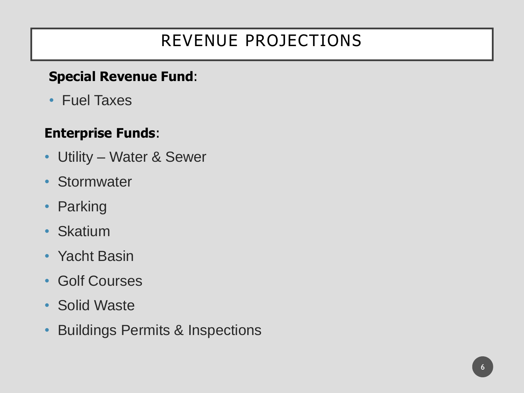# REVENUE PROJECTIONS

### **Special Revenue Fund**:

• Fuel Taxes

### **Enterprise Funds**:

- Utility Water & Sewer
- Stormwater
- Parking
- Skatium
- Yacht Basin
- Golf Courses
- Solid Waste
- Buildings Permits & Inspections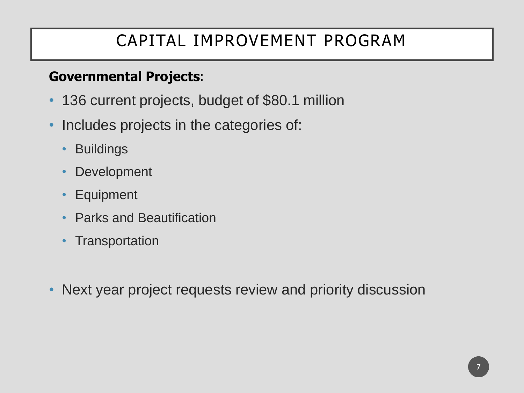## CAPITAL IMPROVEMENT PROGRAM

### **Governmental Projects**:

- 136 current projects, budget of \$80.1 million
- Includes projects in the categories of:
	- **Buildings**
	- Development
	- Equipment
	- Parks and Beautification
	- Transportation
- Next year project requests review and priority discussion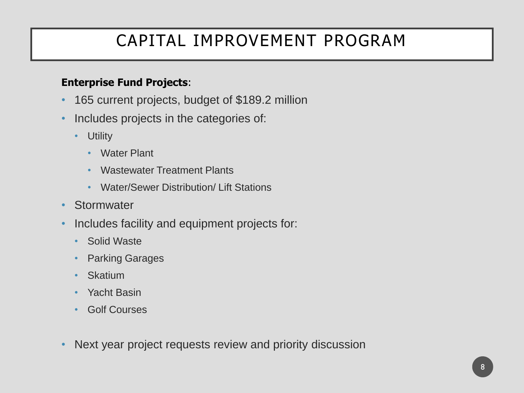## CAPITAL IMPROVEMENT PROGRAM

#### **Enterprise Fund Projects**:

- 165 current projects, budget of \$189.2 million
- Includes projects in the categories of:
	- Utility
		- Water Plant
		- Wastewater Treatment Plants
		- Water/Sewer Distribution/ Lift Stations
- Stormwater
- Includes facility and equipment projects for:
	- Solid Waste
	- **Parking Garages**
	- **Skatium**
	- Yacht Basin
	- Golf Courses
- Next year project requests review and priority discussion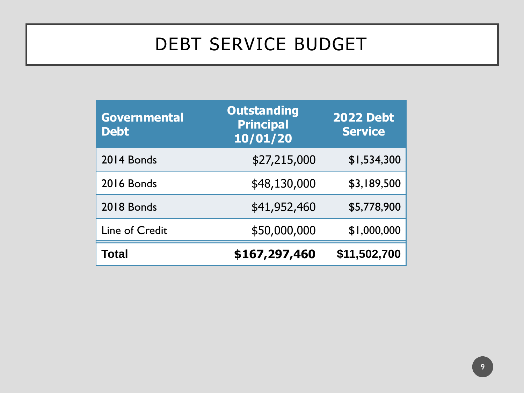# DEBT SERVICE BUDGET

| <b>Governmental</b><br><b>Debt</b> | <b>Outstanding</b><br><b>Principal</b><br>10/01/20 | <b>2022 Debt</b><br><b>Service</b> |
|------------------------------------|----------------------------------------------------|------------------------------------|
| 2014 Bonds                         | \$27,215,000                                       | \$1,534,300                        |
| <b>2016 Bonds</b>                  | \$48,130,000                                       | \$3,189,500                        |
| 2018 Bonds                         | \$41,952,460                                       | \$5,778,900                        |
| Line of Credit                     | \$50,000,000                                       | \$1,000,000                        |
| Total                              | \$167,297,460                                      | \$11,502,700                       |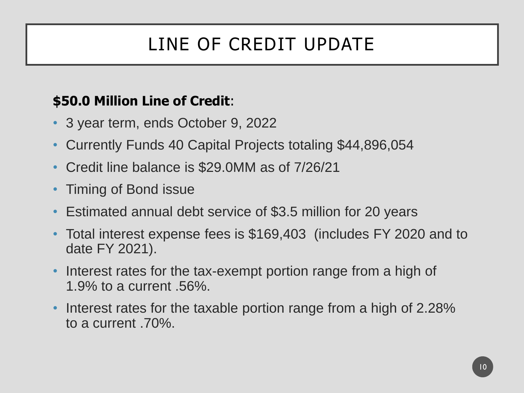# LINE OF CREDIT UPDATE

### **\$50.0 Million Line of Credit**:

- 3 year term, ends October 9, 2022
- Currently Funds 40 Capital Projects totaling \$44,896,054
- Credit line balance is \$29.0MM as of 7/26/21
- Timing of Bond issue
- Estimated annual debt service of \$3.5 million for 20 years
- Total interest expense fees is \$169,403 (includes FY 2020 and to date FY 2021).
- Interest rates for the tax-exempt portion range from a high of 1.9% to a current .56%.
- Interest rates for the taxable portion range from a high of 2.28% to a current .70%.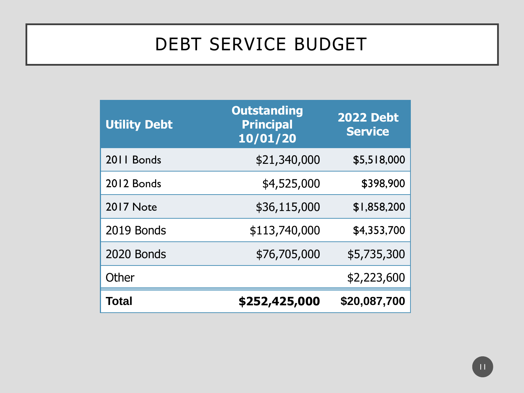# DEBT SERVICE BUDGET

| <b>Utility Debt</b> | <b>Outstanding</b><br><b>Principal</b><br>10/01/20 | <b>2022 Debt</b><br><b>Service</b> |
|---------------------|----------------------------------------------------|------------------------------------|
| 2011 Bonds          | \$21,340,000                                       | \$5,518,000                        |
| 2012 Bonds          | \$4,525,000                                        | \$398,900                          |
| <b>2017 Note</b>    | \$36,115,000                                       | \$1,858,200                        |
| 2019 Bonds          | \$113,740,000                                      | \$4,353,700                        |
| 2020 Bonds          | \$76,705,000                                       | \$5,735,300                        |
| Other               |                                                    | \$2,223,600                        |
| <b>Total</b>        | \$252,425,000                                      | \$20,087,700                       |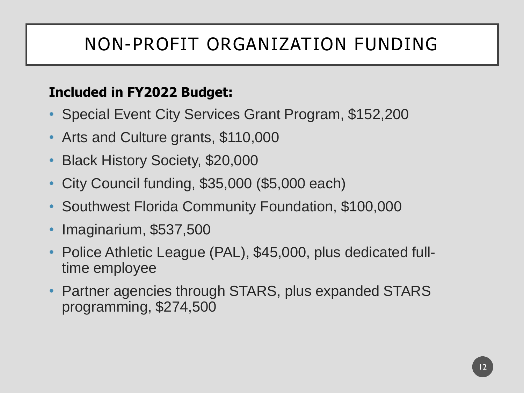# NON-PROFIT ORGANIZATION FUNDING

### **Included in FY2022 Budget:**

- Special Event City Services Grant Program, \$152,200
- Arts and Culture grants, \$110,000
- Black History Society, \$20,000
- City Council funding, \$35,000 (\$5,000 each)
- Southwest Florida Community Foundation, \$100,000
- Imaginarium, \$537,500
- Police Athletic League (PAL), \$45,000, plus dedicated fulltime employee
- Partner agencies through STARS, plus expanded STARS programming, \$274,500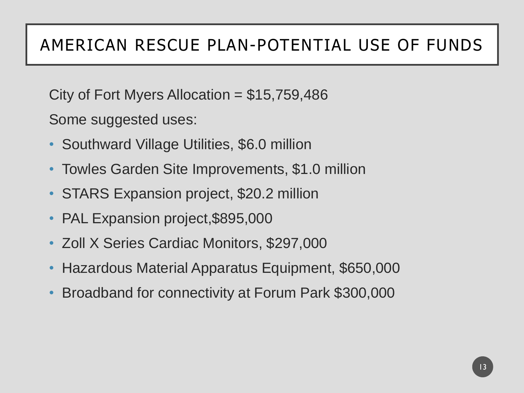## AMERICAN RESCUE PLAN-POTENTIAL USE OF FUNDS

City of Fort Myers Allocation =  $$15,759,486$ 

Some suggested uses:

- Southward Village Utilities, \$6.0 million
- Towles Garden Site Improvements, \$1.0 million
- STARS Expansion project, \$20.2 million
- PAL Expansion project, \$895,000
- Zoll X Series Cardiac Monitors, \$297,000
- Hazardous Material Apparatus Equipment, \$650,000
- Broadband for connectivity at Forum Park \$300,000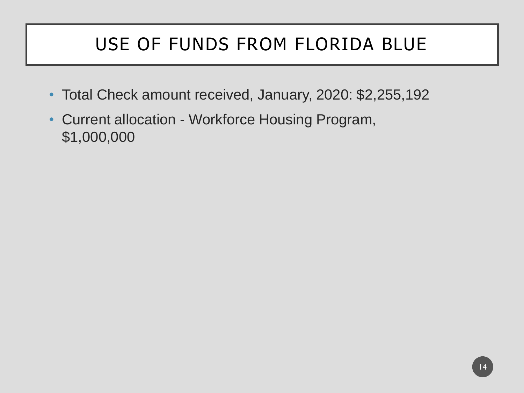# USE OF FUNDS FROM FLORIDA BLUE

- Total Check amount received, January, 2020: \$2,255,192
- Current allocation Workforce Housing Program, \$1,000,000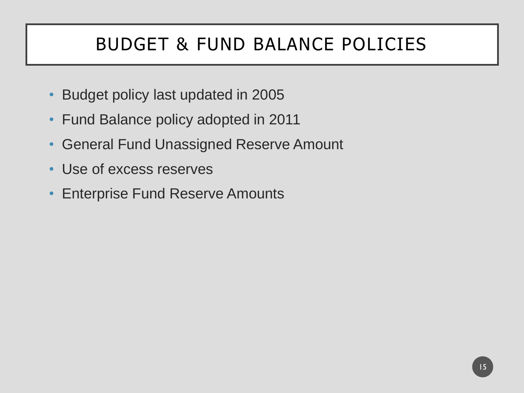# BUDGET & FUND BALANCE POLICIES

- Budget policy last updated in 2005
- Fund Balance policy adopted in 2011
- General Fund Unassigned Reserve Amount
- Use of excess reserves
- Enterprise Fund Reserve Amounts